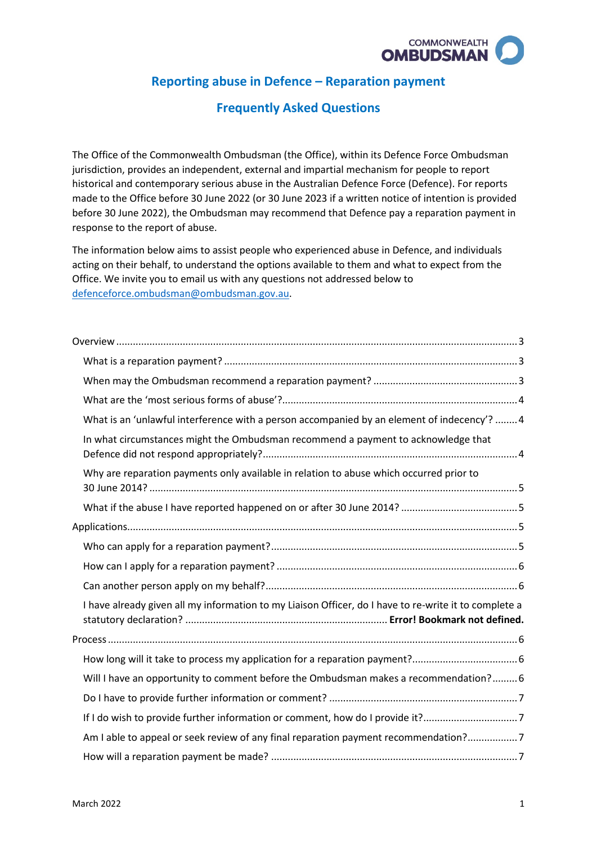

# **Reporting abuse in Defence – Reparation payment**

## **Frequently Asked Questions**

 made to the Office before 30 June 2022 (or 30 June 2023 if a written notice of intention is provided before 30 June 2022), the Ombudsman may recommend that Defence pay a reparation payment in The Office of the Commonwealth Ombudsman (the Office), within its Defence Force Ombudsman jurisdiction, provides an independent, external and impartial mechanism for people to report historical and contemporary serious abuse in the Australian Defence Force (Defence). For reports response to the report of abuse.

 The information below aims to assist people who experienced abuse in Defence, and individuals Office. We invite you to email us with any questions not addressed below to acting on their behalf, to understand the options available to them and what to expect from the [defenceforce.ombudsman@ombudsman.gov.au.](mailto:defenceforce.ombudsman@ombudsman.gov.au)

| What is an 'unlawful interference with a person accompanied by an element of indecency'?  4           |  |
|-------------------------------------------------------------------------------------------------------|--|
| In what circumstances might the Ombudsman recommend a payment to acknowledge that                     |  |
| Why are reparation payments only available in relation to abuse which occurred prior to               |  |
|                                                                                                       |  |
|                                                                                                       |  |
|                                                                                                       |  |
|                                                                                                       |  |
|                                                                                                       |  |
| I have already given all my information to my Liaison Officer, do I have to re-write it to complete a |  |
|                                                                                                       |  |
|                                                                                                       |  |
| Will I have an opportunity to comment before the Ombudsman makes a recommendation? 6                  |  |
|                                                                                                       |  |
| If I do wish to provide further information or comment, how do I provide it?7                         |  |
| Am I able to appeal or seek review of any final reparation payment recommendation?7                   |  |
|                                                                                                       |  |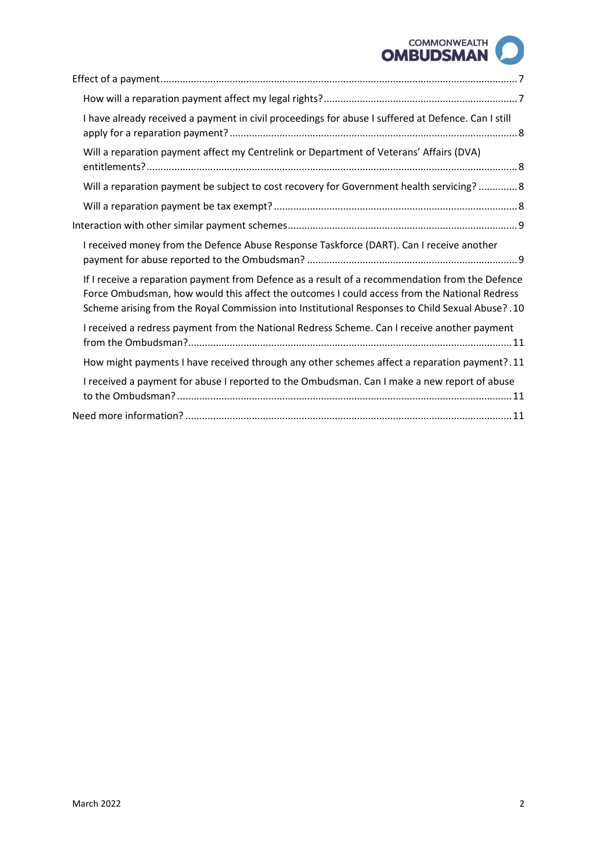# COMMONWEALTH **OMBUDSMAN**

| I have already received a payment in civil proceedings for abuse I suffered at Defence. Can I still                                                                                                                                                                                                     |
|---------------------------------------------------------------------------------------------------------------------------------------------------------------------------------------------------------------------------------------------------------------------------------------------------------|
| Will a reparation payment affect my Centrelink or Department of Veterans' Affairs (DVA)                                                                                                                                                                                                                 |
| Will a reparation payment be subject to cost recovery for Government health servicing?  8                                                                                                                                                                                                               |
|                                                                                                                                                                                                                                                                                                         |
|                                                                                                                                                                                                                                                                                                         |
| I received money from the Defence Abuse Response Taskforce (DART). Can I receive another                                                                                                                                                                                                                |
| If I receive a reparation payment from Defence as a result of a recommendation from the Defence<br>Force Ombudsman, how would this affect the outcomes I could access from the National Redress<br>10. Scheme arising from the Royal Commission into Institutional Responses to Child Sexual Abuse? .10 |
| I received a redress payment from the National Redress Scheme. Can I receive another payment                                                                                                                                                                                                            |
| How might payments I have received through any other schemes affect a reparation payment?.11                                                                                                                                                                                                            |
| I received a payment for abuse I reported to the Ombudsman. Can I make a new report of abuse                                                                                                                                                                                                            |
|                                                                                                                                                                                                                                                                                                         |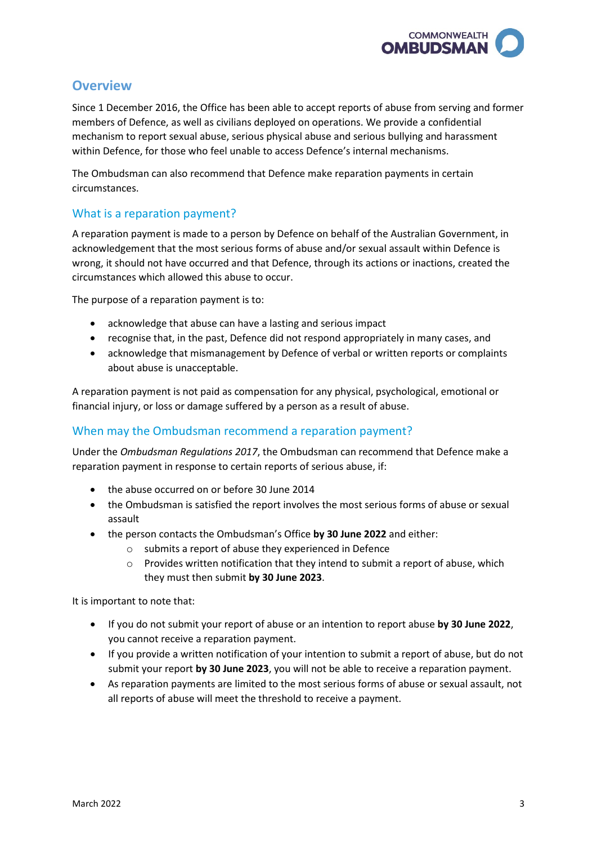

# <span id="page-2-0"></span>**Overview**

 Since 1 December 2016, the Office has been able to accept reports of abuse from serving and former members of Defence, as well as civilians deployed on operations. We provide a confidential mechanism to report sexual abuse, serious physical abuse and serious bullying and harassment within Defence, for those who feel unable to access Defence's internal mechanisms.

The Ombudsman can also recommend that Defence make reparation payments in certain circumstances.

## <span id="page-2-1"></span>What is a reparation payment?

 A reparation payment is made to a person by Defence on behalf of the Australian Government, in acknowledgement that the most serious forms of abuse and/or sexual assault within Defence is wrong, it should not have occurred and that Defence, through its actions or inactions, created the circumstances which allowed this abuse to occur.

The purpose of a reparation payment is to:

- acknowledge that abuse can have a lasting and serious impact
- recognise that, in the past, Defence did not respond appropriately in many cases, and
- • acknowledge that mismanagement by Defence of verbal or written reports or complaints about abuse is unacceptable.

 financial injury, or loss or damage suffered by a person as a result of abuse. A reparation payment is not paid as compensation for any physical, psychological, emotional or

#### <span id="page-2-2"></span>When may the Ombudsman recommend a reparation payment?

 reparation payment in response to certain reports of serious abuse, if: Under the *Ombudsman Regulations 2017*, the Ombudsman can recommend that Defence make a

- the abuse occurred on or before 30 June 2014
- the Ombudsman is satisfied the report involves the most serious forms of abuse or sexual assault
- the person contacts the Ombudsman's Office **by 30 June 2022** and either:
	- o submits a report of abuse they experienced in Defence
	- they must then submit **by 30 June 2023**.  $\circ$  Provides written notification that they intend to submit a report of abuse, which

It is important to note that:

- • If you do not submit your report of abuse or an intention to report abuse **by 30 June 2022**, you cannot receive a reparation payment.
- • If you provide a written notification of your intention to submit a report of abuse, but do not submit your report **by 30 June 2023**, you will not be able to receive a reparation payment.
- • As reparation payments are limited to the most serious forms of abuse or sexual assault, not all reports of abuse will meet the threshold to receive a payment.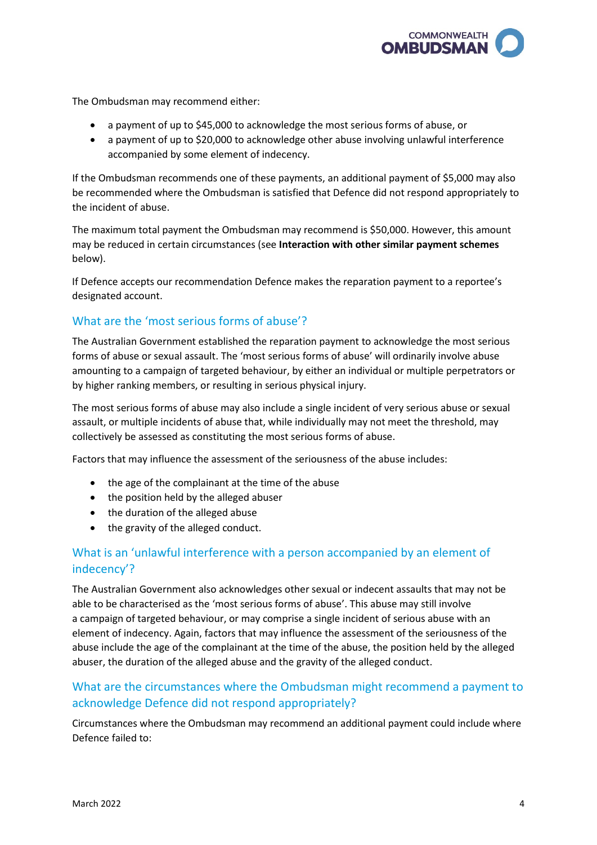

The Ombudsman may recommend either:

- a payment of up to \$45,000 to acknowledge the most serious forms of abuse, or
- • a payment of up to \$20,000 to acknowledge other abuse involving unlawful interference accompanied by some element of indecency.

 If the Ombudsman recommends one of these payments, an additional payment of \$5,000 may also be recommended where the Ombudsman is satisfied that Defence did not respond appropriately to the incident of abuse.

 The maximum total payment the Ombudsman may recommend is \$50,000. However, this amount may be reduced in certain circumstances (see **Interaction with other similar payment schemes**  below).

If Defence accepts our recommendation Defence makes the reparation payment to a reportee's designated account.

## <span id="page-3-0"></span>What are the 'most serious forms of abuse'?

 forms of abuse or sexual assault. The 'most serious forms of abuse' will ordinarily involve abuse The Australian Government established the reparation payment to acknowledge the most serious amounting to a campaign of targeted behaviour, by either an individual or multiple perpetrators or by higher ranking members, or resulting in serious physical injury.

 assault, or multiple incidents of abuse that, while individually may not meet the threshold, may collectively be assessed as constituting the most serious forms of abuse. The most serious forms of abuse may also include a single incident of very serious abuse or sexual

Factors that may influence the assessment of the seriousness of the abuse includes:

- the age of the complainant at the time of the abuse
- the position held by the alleged abuser
- the duration of the alleged abuse
- the gravity of the alleged conduct.

## <span id="page-3-1"></span> What is an 'unlawful interference with a person accompanied by an element of indecency'?

 The Australian Government also acknowledges other sexual or indecent assaults that may not be able to be characterised as the 'most serious forms of abuse'. This abuse may still involve element of indecency. Again, factors that may influence the assessment of the seriousness of the a campaign of targeted behaviour, or may comprise a single incident of serious abuse with an abuse include the age of the complainant at the time of the abuse, the position held by the alleged abuser, the duration of the alleged abuse and the gravity of the alleged conduct.

## <span id="page-3-2"></span> What are the circumstances where the Ombudsman might recommend a payment to acknowledge Defence did not respond appropriately?

Circumstances where the Ombudsman may recommend an additional payment could include where Defence failed to: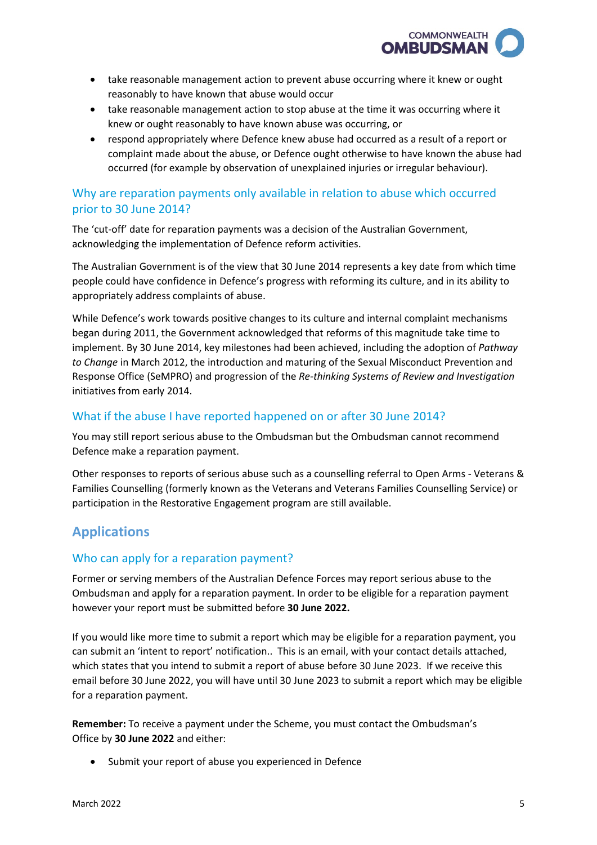

- reasonably to have known that abuse would occur • take reasonable management action to prevent abuse occurring where it knew or ought
- knew or ought reasonably to have known abuse was occurring, or • take reasonable management action to stop abuse at the time it was occurring where it
- • respond appropriately where Defence knew abuse had occurred as a result of a report or occurred (for example by observation of unexplained injuries or irregular behaviour). complaint made about the abuse, or Defence ought otherwise to have known the abuse had

# <span id="page-4-0"></span> prior to 30 June 2014? Why are reparation payments only available in relation to abuse which occurred

The 'cut-off' date for reparation payments was a decision of the Australian Government, acknowledging the implementation of Defence reform activities.

 The Australian Government is of the view that 30 June 2014 represents a key date from which time people could have confidence in Defence's progress with reforming its culture, and in its ability to appropriately address complaints of abuse.

 While Defence's work towards positive changes to its culture and internal complaint mechanisms implement. By 30 June 2014, key milestones had been achieved, including the adoption of *Pathway to Change* in March 2012, the introduction and maturing of the Sexual Misconduct Prevention and Response Office (SeMPRO) and progression of the *Re-thinking Systems of Review and Investigation*  initiatives from early 2014. began during 2011, the Government acknowledged that reforms of this magnitude take time to

## <span id="page-4-1"></span>What if the abuse I have reported happened on or after 30 June 2014?

You may still report serious abuse to the Ombudsman but the Ombudsman cannot recommend Defence make a reparation payment.

 participation in the Restorative Engagement program are still available. Other responses to reports of serious abuse such as a counselling referral to Open Arms - Veterans & Families Counselling (formerly known as the Veterans and Veterans Families Counselling Service) or

## <span id="page-4-2"></span>**Applications**

## <span id="page-4-3"></span>Who can apply for a reparation payment?

 Former or serving members of the Australian Defence Forces may report serious abuse to the Ombudsman and apply for a reparation payment. In order to be eligible for a reparation payment however your report must be submitted before **30 June 2022.** 

 If you would like more time to submit a report which may be eligible for a reparation payment, you can submit an 'intent to report' notification.. This is an email, with your contact details attached, email before 30 June 2022, you will have until 30 June 2023 to submit a report which may be eligible which states that you intend to submit a report of abuse before 30 June 2023. If we receive this for a reparation payment.

**Remember:** To receive a payment under the Scheme, you must contact the Ombudsman's Office by **30 June 2022** and either:

Submit your report of abuse you experienced in Defence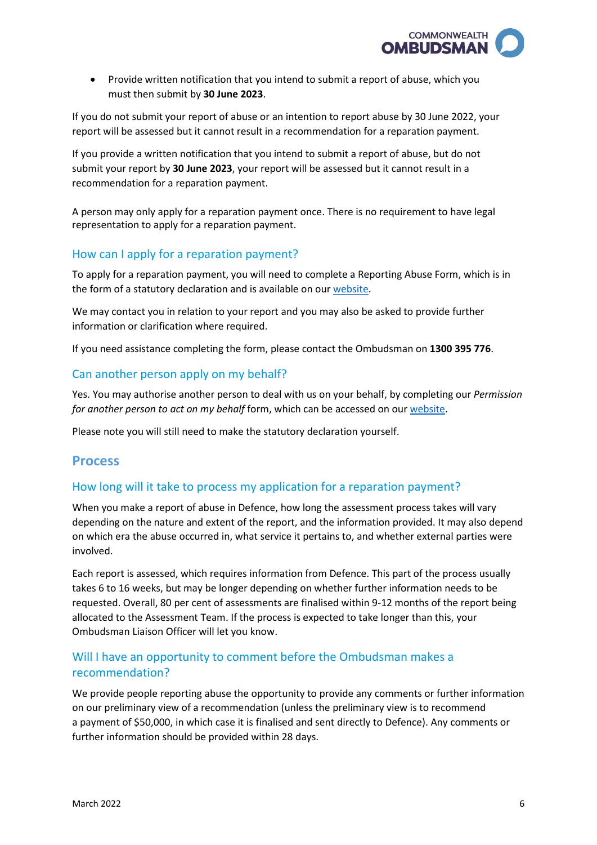

 • Provide written notification that you intend to submit a report of abuse, which you must then submit by **30 June 2023**.

 If you do not submit your report of abuse or an intention to report abuse by 30 June 2022, your report will be assessed but it cannot result in a recommendation for a reparation payment.

 If you provide a written notification that you intend to submit a report of abuse, but do not submit your report by **30 June 2023**, your report will be assessed but it cannot result in a recommendation for a reparation payment.

 A person may only apply for a reparation payment once. There is no requirement to have legal representation to apply for a reparation payment.

## <span id="page-5-0"></span>How can I apply for a reparation payment?

the form of a statutory declaration and is available on our [website.](http://www.ombudsman.gov.au/making-a-complaint/australian-defence-force/reporting-abuse-in-defence) To apply for a reparation payment, you will need to complete a Reporting Abuse Form, which is in

We may contact you in relation to your report and you may also be asked to provide further information or clarification where required.

If you need assistance completing the form, please contact the Ombudsman on **1300 395 776**.

#### <span id="page-5-1"></span>Can another person apply on my behalf?

 *for another person to act on my behalf* form, which can be accessed on our [website.](http://www.ombudsman.gov.au/__data/assets/pdf_file/0018/24408/obo_form.pdf) Yes. You may authorise another person to deal with us on your behalf, by completing our *Permission* 

Please note you will still need to make the statutory declaration yourself.

## <span id="page-5-2"></span>**Process**

#### <span id="page-5-3"></span>How long will it take to process my application for a reparation payment?

 When you make a report of abuse in Defence, how long the assessment process takes will vary depending on the nature and extent of the report, and the information provided. It may also depend on which era the abuse occurred in, what service it pertains to, and whether external parties were involved.

 takes 6 to 16 weeks, but may be longer depending on whether further information needs to be requested. Overall, 80 per cent of assessments are finalised within 9-12 months of the report being allocated to the Assessment Team. If the process is expected to take longer than this, your Each report is assessed, which requires information from Defence. This part of the process usually Ombudsman Liaison Officer will let you know.

## <span id="page-5-4"></span>Will I have an opportunity to comment before the Ombudsman makes a recommendation?

 We provide people reporting abuse the opportunity to provide any comments or further information on our preliminary view of a recommendation (unless the preliminary view is to recommend a payment of \$50,000, in which case it is finalised and sent directly to Defence). Any comments or further information should be provided within 28 days.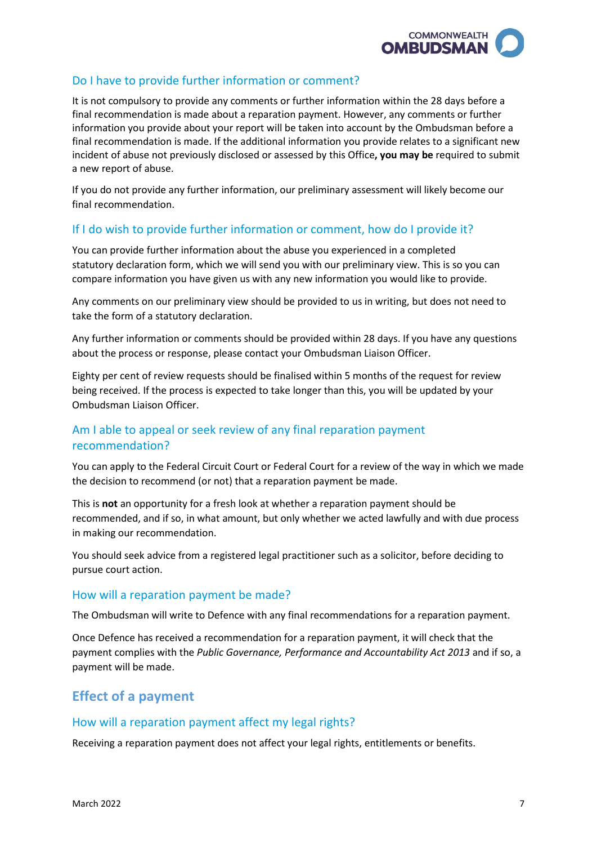

## <span id="page-6-0"></span>Do I have to provide further information or comment?

 final recommendation is made about a reparation payment. However, any comments or further information you provide about your report will be taken into account by the Ombudsman before a It is not compulsory to provide any comments or further information within the 28 days before a final recommendation is made. If the additional information you provide relates to a significant new incident of abuse not previously disclosed or assessed by this Office**, you may be** required to submit a new report of abuse.

If you do not provide any further information, our preliminary assessment will likely become our final recommendation.

## <span id="page-6-1"></span>If I do wish to provide further information or comment, how do I provide it?

 You can provide further information about the abuse you experienced in a completed compare information you have given us with any new information you would like to provide. statutory declaration form, which we will send you with our preliminary view. This is so you can

compare information you have given us with any new information you would like to provide.<br>Any comments on our preliminary view should be provided to us in writing, but does not need to take the form of a statutory declaration.

 Any further information or comments should be provided within 28 days. If you have any questions about the process or response, please contact your Ombudsman Liaison Officer.

 Eighty per cent of review requests should be finalised within 5 months of the request for review Ombudsman Liaison Officer. being received. If the process is expected to take longer than this, you will be updated by your

## <span id="page-6-2"></span>Am I able to appeal or seek review of any final reparation payment recommendation?

 You can apply to the Federal Circuit Court or Federal Court for a review of the way in which we made the decision to recommend (or not) that a reparation payment be made.

This is **not** an opportunity for a fresh look at whether a reparation payment should be recommended, and if so, in what amount, but only whether we acted lawfully and with due process in making our recommendation.

You should seek advice from a registered legal practitioner such as a solicitor, before deciding to pursue court action.

#### <span id="page-6-3"></span>How will a reparation payment be made?

The Ombudsman will write to Defence with any final recommendations for a reparation payment.

 payment will be made. Once Defence has received a recommendation for a reparation payment, it will check that the payment complies with the *Public Governance, Performance and Accountability Act 2013* and if so, a

# <span id="page-6-4"></span>**Effect of a payment**

#### <span id="page-6-5"></span>How will a reparation payment affect my legal rights?

Receiving a reparation payment does not affect your legal rights, entitlements or benefits.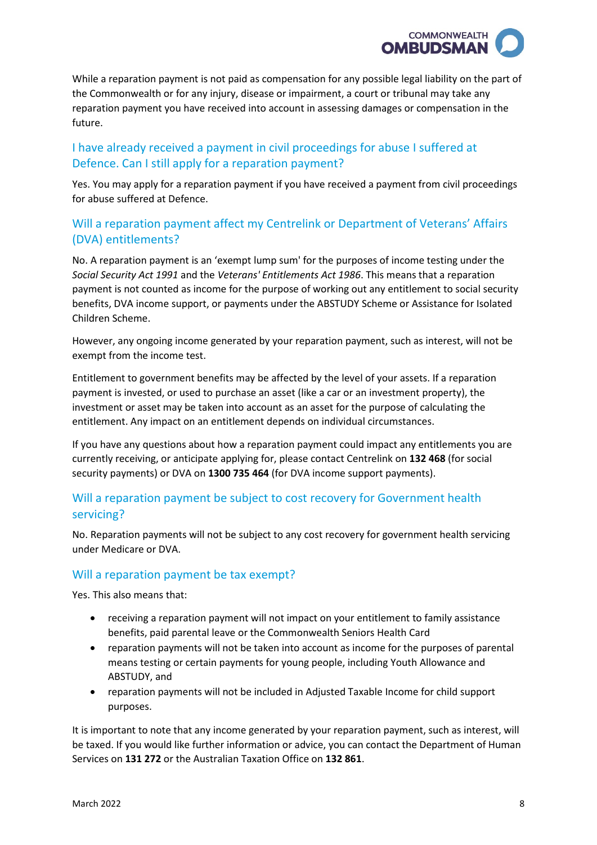

 the Commonwealth or for any injury, disease or impairment, a court or tribunal may take any reparation payment you have received into account in assessing damages or compensation in the While a reparation payment is not paid as compensation for any possible legal liability on the part of future.

## <span id="page-7-0"></span> I have already received a payment in civil proceedings for abuse I suffered at Defence. Can I still apply for a reparation payment?

Yes. You may apply for a reparation payment if you have received a payment from civil proceedings for abuse suffered at Defence.

## <span id="page-7-1"></span> Will a reparation payment affect my Centrelink or Department of Veterans' Affairs (DVA) entitlements?

 No. A reparation payment is an 'exempt lump sum' for the purposes of income testing under the  *Social Security Act 1991* and the *Veterans' Entitlements Act 1986*. This means that a reparation payment is not counted as income for the purpose of working out any entitlement to social security benefits, DVA income support, or payments under the ABSTUDY Scheme or Assistance for Isolated Children Scheme.

However, any ongoing income generated by your reparation payment, such as interest, will not be exempt from the income test.

 Entitlement to government benefits may be affected by the level of your assets. If a reparation investment or asset may be taken into account as an asset for the purpose of calculating the payment is invested, or used to purchase an asset (like a car or an investment property), the entitlement. Any impact on an entitlement depends on individual circumstances.

 currently receiving, or anticipate applying for, please contact Centrelink on **132 468** (for social If you have any questions about how a reparation payment could impact any entitlements you are security payments) or DVA on **1300 735 464** (for DVA income support payments).

## <span id="page-7-2"></span>Will a reparation payment be subject to cost recovery for Government health servicing?

 No. Reparation payments will not be subject to any cost recovery for government health servicing under Medicare or DVA.

#### <span id="page-7-3"></span>Will a reparation payment be tax exempt?

Yes. This also means that:

- receiving a reparation payment will not impact on your entitlement to family assistance benefits, paid parental leave or the Commonwealth Seniors Health Card
- reparation payments will not be taken into account as income for the purposes of parental means testing or certain payments for young people, including Youth Allowance and ABSTUDY, and
- reparation payments will not be included in Adjusted Taxable Income for child support purposes.

 be taxed. If you would like further information or advice, you can contact the Department of Human It is important to note that any income generated by your reparation payment, such as interest, will Services on **131 272** or the Australian Taxation Office on **132 861**.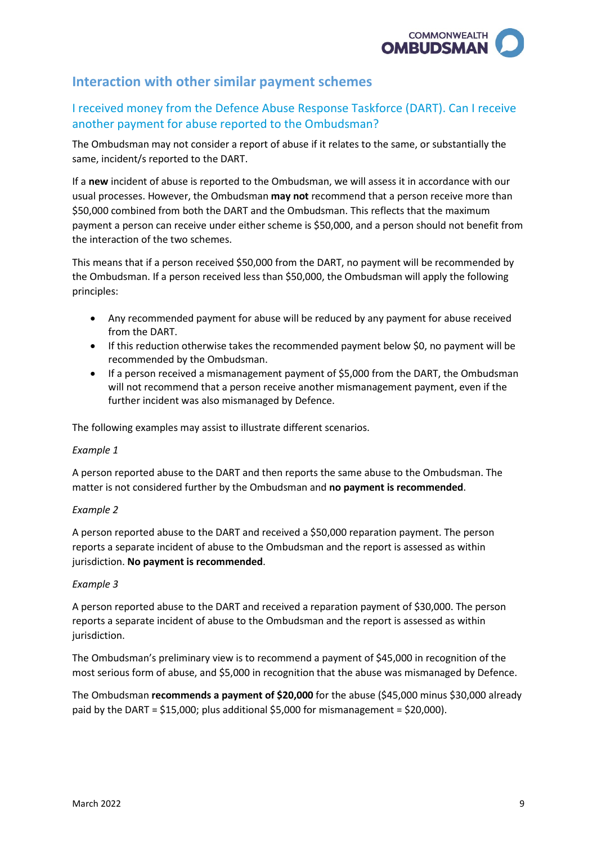

# <span id="page-8-0"></span>**Interaction with other similar payment schemes**

## <span id="page-8-1"></span>I received money from the Defence Abuse Response Taskforce (DART). Can I receive another payment for abuse reported to the Ombudsman?

The Ombudsman may not consider a report of abuse if it relates to the same, or substantially the same, incident/s reported to the DART.

 If a **new** incident of abuse is reported to the Ombudsman, we will assess it in accordance with our usual processes. However, the Ombudsman **may not** recommend that a person receive more than \$50,000 combined from both the DART and the Ombudsman. This reflects that the maximum payment a person can receive under either scheme is \$50,000, and a person should not benefit from the interaction of the two schemes.

This means that if a person received \$50,000 from the DART, no payment will be recommended by the Ombudsman. If a person received less than \$50,000, the Ombudsman will apply the following principles:

- Any recommended payment for abuse will be reduced by any payment for abuse received from the DART.
- • If this reduction otherwise takes the recommended payment below \$0, no payment will be recommended by the Ombudsman.
- further incident was also mismanaged by Defence. • If a person received a mismanagement payment of \$5,000 from the DART, the Ombudsman will not recommend that a person receive another mismanagement payment, even if the

The following examples may assist to illustrate different scenarios.

#### *Example 1*

 matter is not considered further by the Ombudsman and **no payment is recommended**. A person reported abuse to the DART and then reports the same abuse to the Ombudsman. The

#### *Example 2*

A person reported abuse to the DART and received a \$50,000 reparation payment. The person reports a separate incident of abuse to the Ombudsman and the report is assessed as within jurisdiction. **No payment is recommended**.

#### *Example 3*

 A person reported abuse to the DART and received a reparation payment of \$30,000. The person reports a separate incident of abuse to the Ombudsman and the report is assessed as within jurisdiction.

 The Ombudsman's preliminary view is to recommend a payment of \$45,000 in recognition of the most serious form of abuse, and \$5,000 in recognition that the abuse was mismanaged by Defence.

 paid by the DART = \$15,000; plus additional \$5,000 for mismanagement = \$20,000). The Ombudsman **recommends a payment of \$20,000** for the abuse (\$45,000 minus \$30,000 already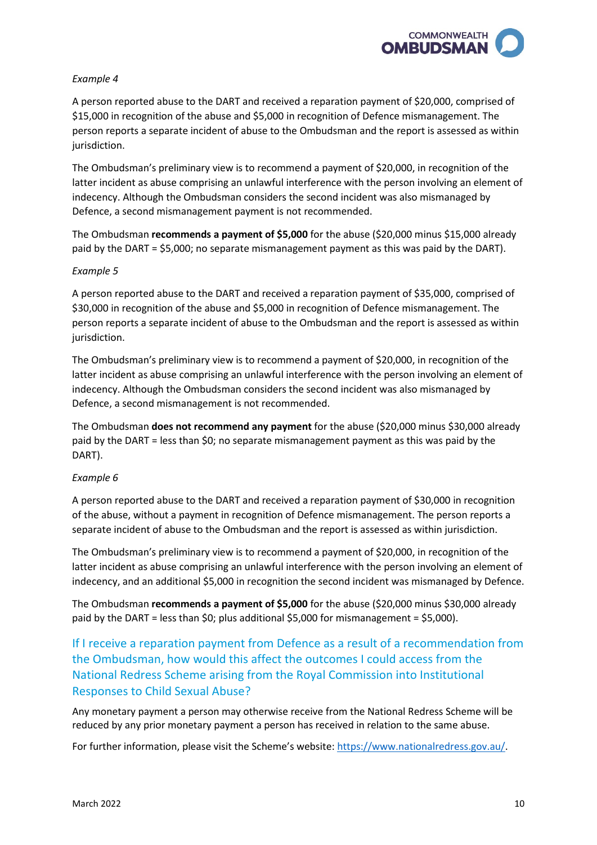

#### *Example 4*

 A person reported abuse to the DART and received a reparation payment of \$20,000, comprised of \$15,000 in recognition of the abuse and \$5,000 in recognition of Defence mismanagement. The person reports a separate incident of abuse to the Ombudsman and the report is assessed as within jurisdiction.

 The Ombudsman's preliminary view is to recommend a payment of \$20,000, in recognition of the latter incident as abuse comprising an unlawful interference with the person involving an element of indecency. Although the Ombudsman considers the second incident was also mismanaged by Defence, a second mismanagement payment is not recommended.

 paid by the DART = \$5,000; no separate mismanagement payment as this was paid by the DART). The Ombudsman **recommends a payment of \$5,000** for the abuse (\$20,000 minus \$15,000 already

#### *Example 5*

 A person reported abuse to the DART and received a reparation payment of \$35,000, comprised of \$30,000 in recognition of the abuse and \$5,000 in recognition of Defence mismanagement. The person reports a separate incident of abuse to the Ombudsman and the report is assessed as within jurisdiction.

 The Ombudsman's preliminary view is to recommend a payment of \$20,000, in recognition of the latter incident as abuse comprising an unlawful interference with the person involving an element of indecency. Although the Ombudsman considers the second incident was also mismanaged by Defence, a second mismanagement is not recommended.

The Ombudsman **does not recommend any payment** for the abuse (\$20,000 minus \$30,000 already paid by the DART = less than \$0; no separate mismanagement payment as this was paid by the DART).

#### *Example 6*

 separate incident of abuse to the Ombudsman and the report is assessed as within jurisdiction. A person reported abuse to the DART and received a reparation payment of \$30,000 in recognition of the abuse, without a payment in recognition of Defence mismanagement. The person reports a

 The Ombudsman's preliminary view is to recommend a payment of \$20,000, in recognition of the latter incident as abuse comprising an unlawful interference with the person involving an element of indecency, and an additional \$5,000 in recognition the second incident was mismanaged by Defence.

 paid by the DART = less than \$0; plus additional \$5,000 for mismanagement = \$5,000). The Ombudsman **recommends a payment of \$5,000** for the abuse (\$20,000 minus \$30,000 already

<span id="page-9-0"></span>If I receive a reparation payment from Defence as a result of a recommendation from the Ombudsman, how would this affect the outcomes I could access from the National Redress Scheme arising from the Royal Commission into Institutional Responses to Child Sexual Abuse?

 Any monetary payment a person may otherwise receive from the National Redress Scheme will be reduced by any prior monetary payment a person has received in relation to the same abuse.

For further information, please visit the Scheme's website: [https://www.nationalredress.gov.au/](https://www.nationalredress.gov.au).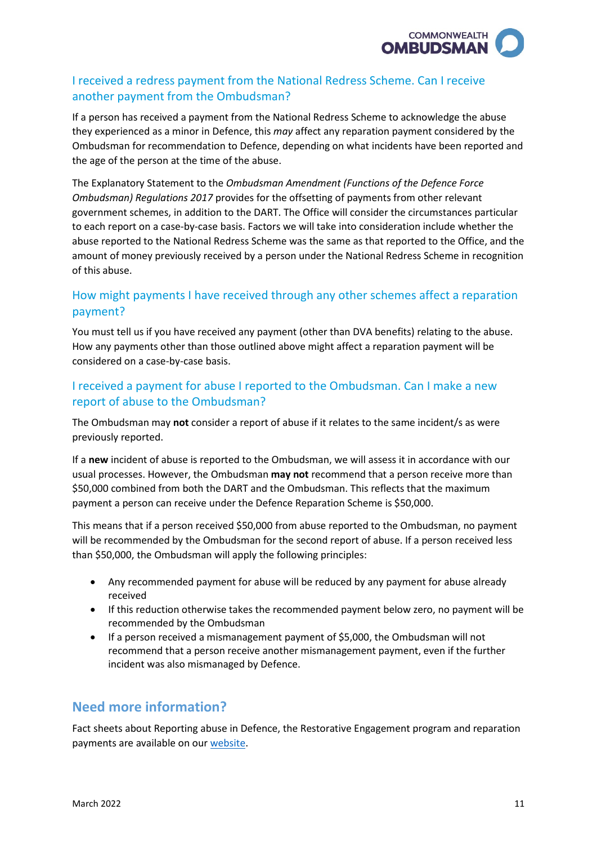

## <span id="page-10-0"></span>I received a redress payment from the National Redress Scheme. Can I receive another payment from the Ombudsman?

 they experienced as a minor in Defence, this *may* affect any reparation payment considered by the If a person has received a payment from the National Redress Scheme to acknowledge the abuse Ombudsman for recommendation to Defence, depending on what incidents have been reported and the age of the person at the time of the abuse.

The Explanatory Statement to the *Ombudsman Amendment (Functions of the Defence Force Ombudsman) Regulations 2017* provides for the offsetting of payments from other relevant government schemes, in addition to the DART. The Office will consider the circumstances particular to each report on a case-by-case basis. Factors we will take into consideration include whether the abuse reported to the National Redress Scheme was the same as that reported to the Office, and the amount of money previously received by a person under the National Redress Scheme in recognition of this abuse.

# <span id="page-10-1"></span>How might payments I have received through any other schemes affect a reparation payment?

 How any payments other than those outlined above might affect a reparation payment will be You must tell us if you have received any payment (other than DVA benefits) relating to the abuse. considered on a case-by-case basis.

# <span id="page-10-2"></span> report of abuse to the Ombudsman? I received a payment for abuse I reported to the Ombudsman. Can I make a new

The Ombudsman may **not** consider a report of abuse if it relates to the same incident/s as were previously reported.

 If a **new** incident of abuse is reported to the Ombudsman, we will assess it in accordance with our usual processes. However, the Ombudsman **may not** recommend that a person receive more than \$50,000 combined from both the DART and the Ombudsman. This reflects that the maximum payment a person can receive under the Defence Reparation Scheme is \$50,000.

 will be recommended by the Ombudsman for the second report of abuse. If a person received less This means that if a person received \$50,000 from abuse reported to the Ombudsman, no payment than \$50,000, the Ombudsman will apply the following principles:

- Any recommended payment for abuse will be reduced by any payment for abuse already received
- • If this reduction otherwise takes the recommended payment below zero, no payment will be recommended by the Ombudsman
- • If a person received a mismanagement payment of \$5,000, the Ombudsman will not recommend that a person receive another mismanagement payment, even if the further incident was also mismanaged by Defence.

# <span id="page-10-3"></span>**Need more information?**

payments are available on ou[r website.](http://www.ombudsman.gov.au/making-a-complaint/australian-defence-force/reporting-abuse-in-defence) Fact sheets about Reporting abuse in Defence, the Restorative Engagement program and reparation